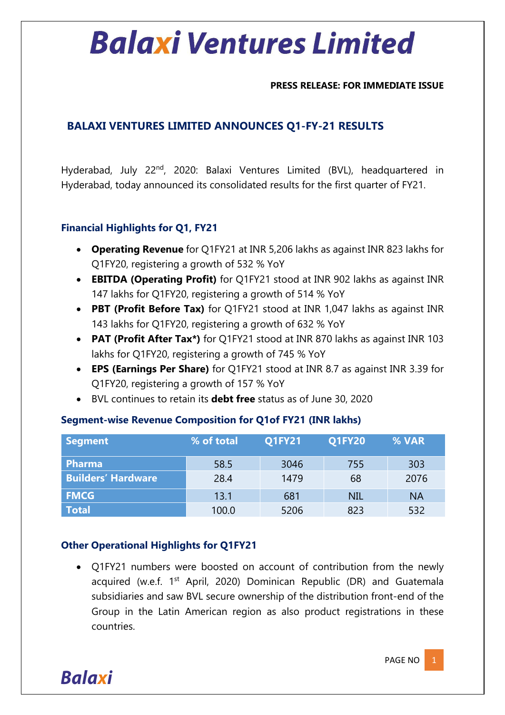#### **PRESS RELEASE: FOR IMMEDIATE ISSUE**

#### **BALAXI VENTURES LIMITED ANNOUNCES Q1-FY-21 RESULTS**

Hyderabad, July 22<sup>nd</sup>, 2020: Balaxi Ventures Limited (BVL), headquartered in Hyderabad, today announced its consolidated results for the first quarter of FY21.

#### **Financial Highlights for Q1, FY21**

- **Operating Revenue** for Q1FY21 at INR 5,206 lakhs as against INR 823 lakhs for Q1FY20, registering a growth of 532 % YoY
- **EBITDA (Operating Profit)** for Q1FY21 stood at INR 902 lakhs as against INR 147 lakhs for Q1FY20, registering a growth of 514 % YoY
- **PBT (Profit Before Tax)** for Q1FY21 stood at INR 1,047 lakhs as against INR 143 lakhs for Q1FY20, registering a growth of 632 % YoY
- **PAT (Profit After Tax\*)** for Q1FY21 stood at INR 870 lakhs as against INR 103 lakhs for Q1FY20, registering a growth of 745 % YoY
- **EPS (Earnings Per Share)** for Q1FY21 stood at INR 8.7 as against INR 3.39 for Q1FY20, registering a growth of 157 % YoY
- BVL continues to retain its **debt free** status as of June 30, 2020

| <b>Segment</b>            | % of total | <b>Q1FY21</b> | <b>Q1FY20</b> | % VAR     |
|---------------------------|------------|---------------|---------------|-----------|
| <b>Pharma</b>             | 58.5       | 3046          | 755           | 303       |
| <b>Builders' Hardware</b> | 28.4       | 1479          | 68            | 2076      |
| <b>FMCG</b>               | 13.1       | 681           | <b>NIL</b>    | <b>NA</b> |
| <b>Total</b>              | 100.0      | 5206          | 823           | 532       |

#### **Segment-wise Revenue Composition for Q1of FY21 (INR lakhs)**

#### **Other Operational Highlights for Q1FY21**

• Q1FY21 numbers were boosted on account of contribution from the newly acquired (w.e.f. 1<sup>st</sup> April, 2020) Dominican Republic (DR) and Guatemala subsidiaries and saw BVL secure ownership of the distribution front-end of the Group in the Latin American region as also product registrations in these countries.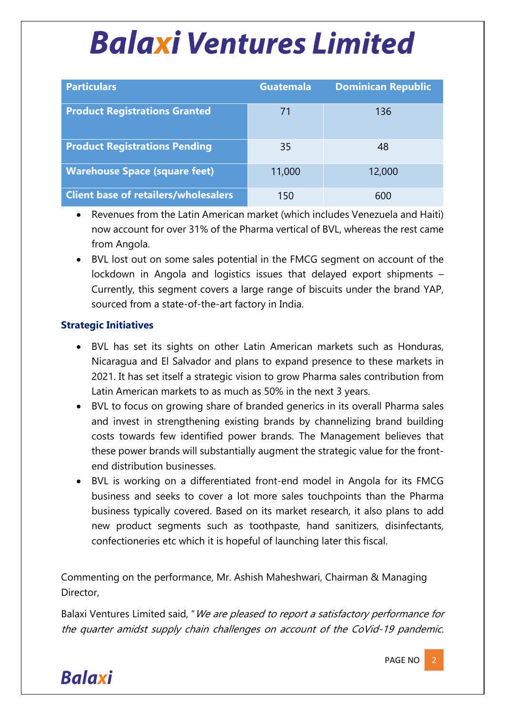| <b>Particulars</b>                          | <b>Guatemala</b> | <b>Dominican Republic</b> |
|---------------------------------------------|------------------|---------------------------|
| <b>Product Registrations Granted</b>        | 71               | 136                       |
| <b>Product Registrations Pending</b>        | 35               | 48                        |
| <b>Warehouse Space (square feet)</b>        | 11,000           | 12,000                    |
| <b>Client base of retailers/wholesalers</b> | 150              | 600                       |

- Revenues from the Latin American market (which includes Venezuela and Haiti) now account for over 31% of the Pharma vertical of BVL, whereas the rest came from Angola.
- BVL lost out on some sales potential in the FMCG segment on account of the lockdown in Angola and logistics issues that delayed export shipments – Currently, this segment covers a large range of biscuits under the brand YAP, sourced from a state-of-the-art factory in India.

#### **Strategic Initiatives**

- BVL has set its sights on other Latin American markets such as Honduras, Nicaragua and El Salvador and plans to expand presence to these markets in 2021. It has set itself a strategic vision to grow Pharma sales contribution from Latin American markets to as much as 50% in the next 3 years.
- BVL to focus on growing share of branded generics in its overall Pharma sales and invest in strengthening existing brands by channelizing brand building costs towards few identified power brands. The Management believes that these power brands will substantially augment the strategic value for the frontend distribution businesses.
- BVL is working on a differentiated front-end model in Angola for its FMCG business and seeks to cover a lot more sales touchpoints than the Pharma business typically covered. Based on its market research, it also plans to add new product segments such as toothpaste, hand sanitizers, disinfectants, confectioneries etc which it is hopeful of launching later this fiscal.

Commenting on the performance, Mr. Ashish Maheshwari, Chairman & Managing Director,

Balaxi Ventures Limited said, "We are pleased to report a satisfactory performance for the quarter amidst supply chain challenges on account of the CoVid-19 pandemic.

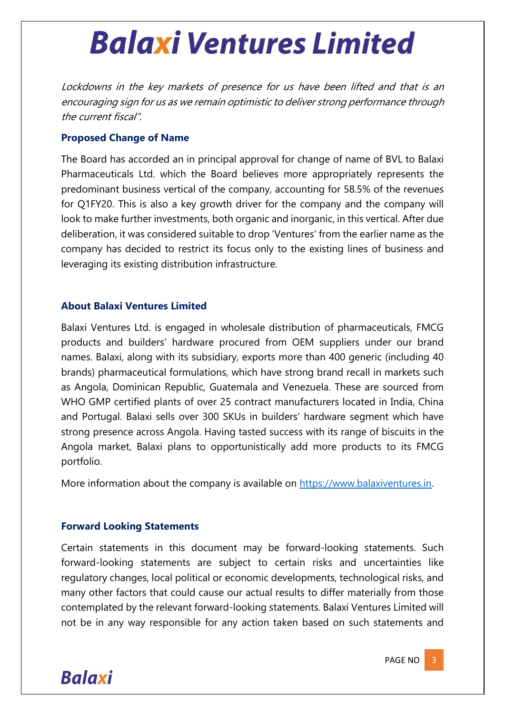Lockdowns in the key markets of presence for us have been lifted and that is an encouraging sign for us as we remain optimistic to deliver strong performance through the current fiscal".

#### **Proposed Change of Name**

The Board has accorded an in principal approval for change of name of BVL to Balaxi Pharmaceuticals Ltd. which the Board believes more appropriately represents the predominant business vertical of the company, accounting for 58.5% of the revenues for Q1FY20. This is also a key growth driver for the company and the company will look to make further investments, both organic and inorganic, in this vertical. After due deliberation, it was considered suitable to drop 'Ventures' from the earlier name as the company has decided to restrict its focus only to the existing lines of business and leveraging its existing distribution infrastructure.

#### **About Balaxi Ventures Limited**

Balaxi Ventures Ltd. is engaged in wholesale distribution of pharmaceuticals, FMCG products and builders' hardware procured from OEM suppliers under our brand names. Balaxi, along with its subsidiary, exports more than 400 generic (including 40 brands) pharmaceutical formulations, which have strong brand recall in markets such as Angola, Dominican Republic, Guatemala and Venezuela. These are sourced from WHO GMP certified plants of over 25 contract manufacturers located in India, China and Portugal. Balaxi sells over 300 SKUs in builders' hardware segment which have strong presence across Angola. Having tasted success with its range of biscuits in the Angola market, Balaxi plans to opportunistically add more products to its FMCG portfolio.

More information about the company is available on https://www.balaxiventures.in.

#### **Forward Looking Statements**

Certain statements in this document may be forward-looking statements. Such forward-looking statements are subject to certain risks and uncertainties like regulatory changes, local political or economic developments, technological risks, and many other factors that could cause our actual results to differ materially from those contemplated by the relevant forward-looking statements. Balaxi Ventures Limited will not be in any way responsible for any action taken based on such statements and